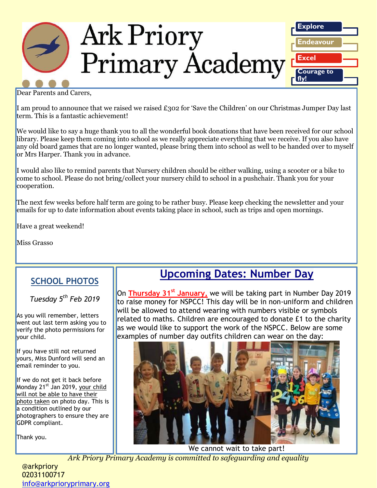

Dear Parents and Carers,

I am proud to announce that we raised we raised £302 for 'Save the Children' on our Christmas Jumper Day last term. This is a fantastic achievement!

We would like to say a huge thank you to all the wonderful book donations that have been received for our school library. Please keep them coming into school as we really appreciate everything that we receive. If you also have any old board games that are no longer wanted, please bring them into school as well to be handed over to myself or Mrs Harper. Thank you in advance.

I would also like to remind parents that Nursery children should be either walking, using a scooter or a bike to come to school. Please do not bring/collect your nursery child to school in a pushchair. Thank you for your cooperation.

The next few weeks before half term are going to be rather busy. Please keep checking the newsletter and your emails for up to date information about events taking place in school, such as trips and open mornings.

Have a great weekend!

Miss Grasso

#### **SCHOOL PHOTOS**

#### *Tuesday 5th Feb 2019*

As you will remember, letters went out last term asking you to verify the photo permissions for your child.

If you have still not returned yours, Miss Dunford will send an email reminder to you.

If we do not get it back before Monday 21<sup>st</sup> Jan 2019, your child will not be able to have their photo taken on photo day. This is a condition outlined by our photographers to ensure they are GDPR compliant.

Thank you.

## **Upcoming Dates: Number Day**

On **Thursday 31st January,** we will be taking part in Number Day 2019 to raise money for NSPCC! This day will be in non-uniform and children will be allowed to attend wearing with numbers visible or symbols related to maths. Children are encouraged to donate £1 to the charity as we would like to support the work of the NSPCC. Below are some examples of number day outfits children can wear on the day:



We cannot wait to take part!

*Ark Priory Primary Academy is committed to safeguarding and equality* 

@arkpriory 02031100717 [info@arkprioryprimary.org](mailto:info@arkprioryprimary.org)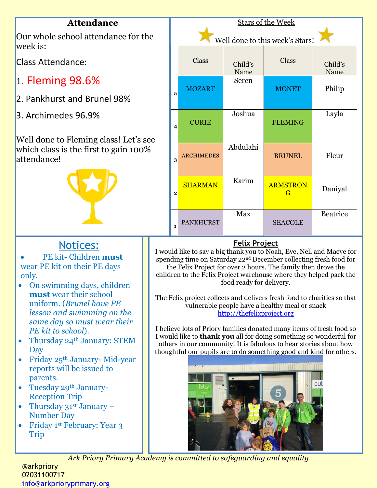

I believe lots of Priory families donated many items of fresh food so I would like to **thank you** all for doing something so wonderful for others in our community! It is fabulous to hear stories about how thoughtful our pupils are to do something good and kind for others.



*Ark Priory Primary Academy is committed to safeguarding and equality* 

- *lesson and swimming on the same day so must wear their PE kit to school*).
- Thursday 24<sup>th</sup> January: STEM Day
- Friday  $25<sup>th</sup>$  January-Mid-year reports will be issued to parents.
- Tuesday 29th January-Reception Trip
- Thursday  $31^{st}$  January Number Day
- Friday 1<sup>st</sup> February: Year 3 Trip

@arkpriory 02031100717 [info@arkprioryprimary.org](mailto:info@arkprioryprimary.org)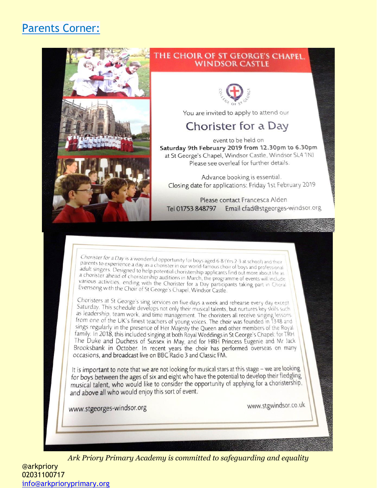## **Parents Corner:**



#### THE CHOIR OF ST GEORGE'S CHAPEL. **WINDSOR CASTLE**



You are invited to apply to attend our

### **Chorister for a Day**

event to be held on Saturday 9th February 2019 from 12.30pm to 6.30pm at St George's Chapel, Windsor Castle, Windsor SL4 1NJ Please see overleaf for further details.

Advance booking is essential. Closing date for applications: Friday 1st February 2019

Please contact Francesca Alden Email cfad@stgeorges-windsor.org Tel 01753 848797

Chorister for a Day is a wonderful opportunity for boys aged 6-8 (Yrs 2-3 at school) and their<br>parents to experience a day as a chorister in our world-famous choir of boys and professional adult singers. Designed to help potential choristership applicants find out more about life as a chorister ahead of choristership auditions in March, the programme of events will include various activities, ending with the Chorister for a Day participants taking part in Choral Evensong with the Choir of St George's Chapel, Windsor Castle.

Choristers at St George's sing services on five days a week and rehearse every day except Saturday. This schedule develops not only their musical talents, but nurtures key skills such as leadership, team work, and time management. The choristers all receive singing lessons from one of the UK's finest teachers of young voices. The choir was founded in 1348 and sings regularly in the presence of Her Majesty the Queen and other members of the Royal family. In 2018, this included singing at both Royal Weddings in St George's Chapel: for TRH The Duke and Duchess of Sussex in May, and for HRH Princess Eugenie and Mr Jack<br>Brooksbank in October. In recent years the choir has performed overseas on many<br>occasions, and broadcast live on BBC Radio 3 and Classic FM.

It is important to note that we are not looking for musical stars at this stage - we are looking for boys between the ages of six and eight who have the potential to develop their fledgling musical talent, who would like to consider the opportunity of applying for a choristership, and above all who would enjoy this sort of event.

www.stgeorges-windsor.org

www.stgwindsor.co.uk

Ark Priory Primary Academy is committed to safeguarding and equality

**@arkpriory** 02031100717 info@arkprioryprimary.org